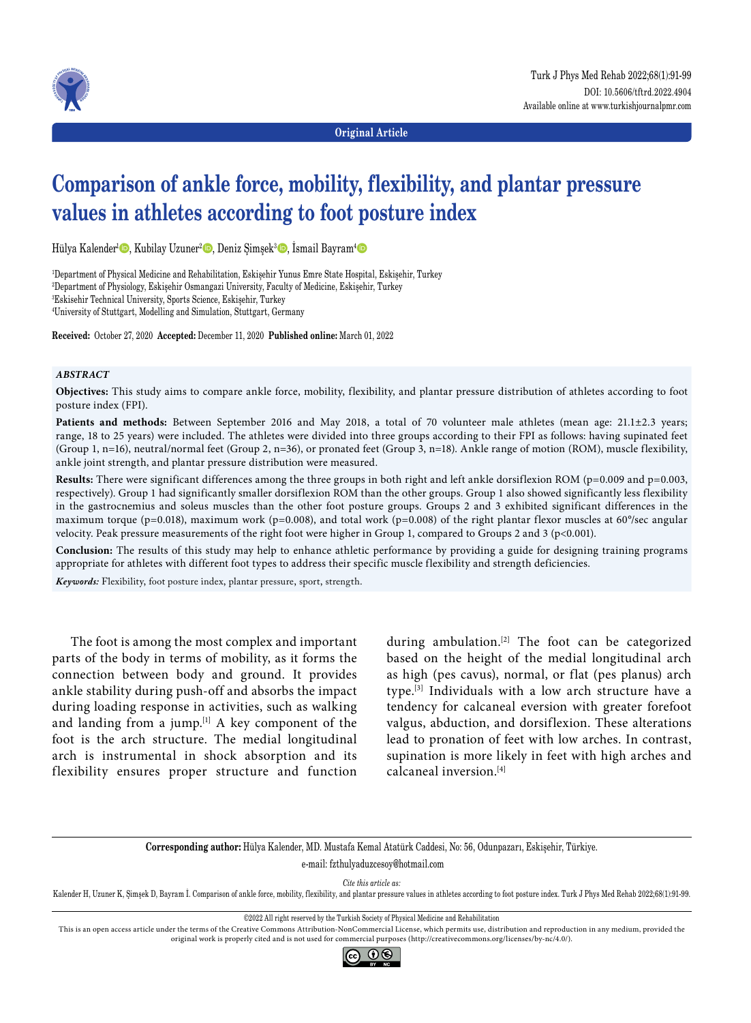

**Original Article**

# **Comparison of ankle force, mobility, flexibility, and plantar pressure values in athletes according to foot posture index**

Hülya Kalender<sup>ı</sup>©, Kubilay Uzuner<sup>2</sup>©, Deniz Şimşek<sup>3</sup>©, İsmail Bayram<sup>4</sup>©

1 Department of Physical Medicine and Rehabilitation, Eskişehir Yunus Emre State Hospital, Eskişehir, Turkey 2 Department of Physiology, Eskişehir Osmangazi University, Faculty of Medicine, Eskişehir, Turkey 3 Eskisehir Technical University, Sports Science, Eskişehir, Turkey

4 University of Stuttgart, Modelling and Simulation, Stuttgart, Germany

**Received:** October 27, 2020 **Accepted:** December 11, 2020 **Published online:** March 01, 2022

#### *ABSTRACT*

**Objectives:** This study aims to compare ankle force, mobility, flexibility, and plantar pressure distribution of athletes according to foot posture index (FPI).

Patients and methods: Between September 2016 and May 2018, a total of 70 volunteer male athletes (mean age: 21.1±2.3 years; range, 18 to 25 years) were included. The athletes were divided into three groups according to their FPI as follows: having supinated feet (Group 1, n=16), neutral/normal feet (Group 2, n=36), or pronated feet (Group 3, n=18). Ankle range of motion (ROM), muscle flexibility, ankle joint strength, and plantar pressure distribution were measured.

Results: There were significant differences among the three groups in both right and left ankle dorsiflexion ROM (p=0.009 and p=0.003, respectively). Group 1 had significantly smaller dorsiflexion ROM than the other groups. Group 1 also showed significantly less flexibility in the gastrocnemius and soleus muscles than the other foot posture groups. Groups 2 and 3 exhibited significant differences in the maximum torque (p=0.018), maximum work (p=0.008), and total work (p=0.008) of the right plantar flexor muscles at  $60^{\circ}/sec$  angular velocity. Peak pressure measurements of the right foot were higher in Group 1, compared to Groups 2 and 3 (p<0.001).

**Conclusion:** The results of this study may help to enhance athletic performance by providing a guide for designing training programs appropriate for athletes with different foot types to address their specific muscle flexibility and strength deficiencies.

*Keywords:* Flexibility, foot posture index, plantar pressure, sport, strength.

The foot is among the most complex and important parts of the body in terms of mobility, as it forms the connection between body and ground. It provides ankle stability during push-off and absorbs the impact during loading response in activities, such as walking and landing from a jump.<sup>[1]</sup> A key component of the foot is the arch structure. The medial longitudinal arch is instrumental in shock absorption and its flexibility ensures proper structure and function during ambulation.<sup>[2]</sup> The foot can be categorized based on the height of the medial longitudinal arch as high (pes cavus), normal, or flat (pes planus) arch type.[3] Individuals with a low arch structure have a tendency for calcaneal eversion with greater forefoot valgus, abduction, and dorsiflexion. These alterations lead to pronation of feet with low arches. In contrast, supination is more likely in feet with high arches and calcaneal inversion.[4]

**Corresponding author:** Hülya Kalender, MD. Mustafa Kemal Atatürk Caddesi, No: 56, Odunpazarı, Eskişehir, Türkiye. e-mail: fzthulyaduzcesoy@hotmail.com

*Cite this article as:*

Kalender H, Uzuner K, Şimşek D, Bayram İ. Comparison of ankle force, mobility, flexibility, and plantar pressure values in athletes according to foot posture index. Turk J Phys Med Rehab 2022;68(1):91-99.

©2022 All right reserved by the Turkish Society of Physical Medicine and Rehabilitation

This is an open access article under the terms of the Creative Commons Attribution-NonCommercial License, which permits use, distribution and reproduction in any medium, provided the original work is properly cited and is not used for commercial purposes (http://creativecommons.org/licenses/by-nc/4.0/).

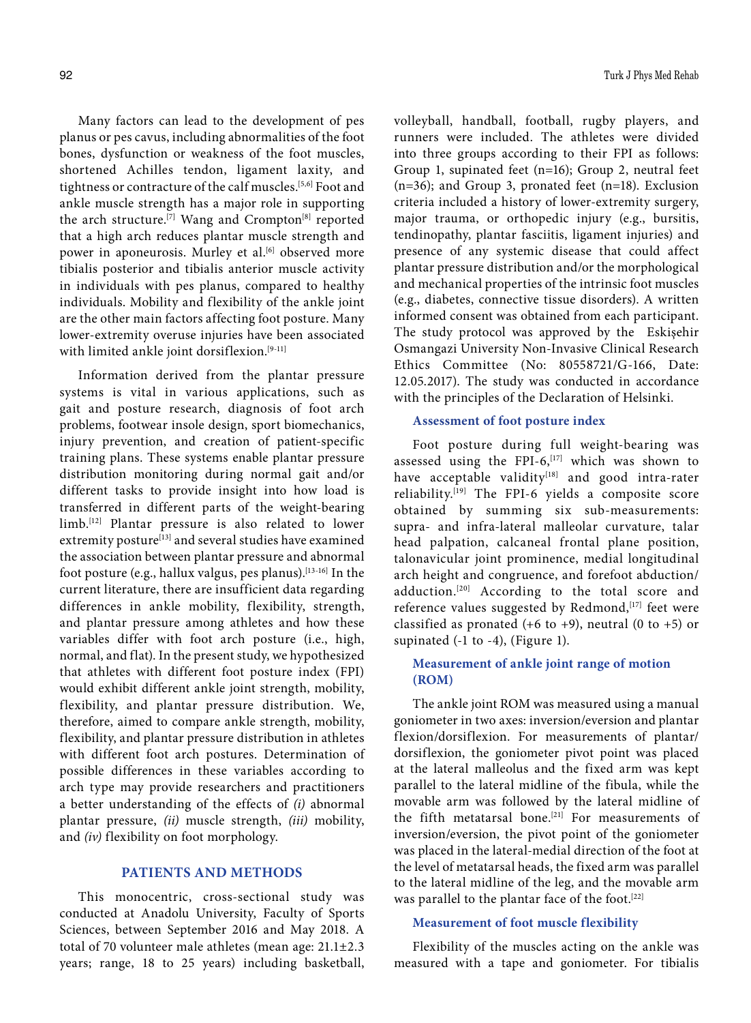Many factors can lead to the development of pes planus or pes cavus, including abnormalities of the foot bones, dysfunction or weakness of the foot muscles, shortened Achilles tendon, ligament laxity, and tightness or contracture of the calf muscles.<sup>[5,6]</sup> Foot and ankle muscle strength has a major role in supporting the arch structure.<sup>[7]</sup> Wang and Crompton<sup>[8]</sup> reported that a high arch reduces plantar muscle strength and power in aponeurosis. Murley et al.<sup>[6]</sup> observed more tibialis posterior and tibialis anterior muscle activity in individuals with pes planus, compared to healthy individuals. Mobility and flexibility of the ankle joint are the other main factors affecting foot posture. Many lower-extremity overuse injuries have been associated with limited ankle joint dorsiflexion.<sup>[9-11]</sup>

Information derived from the plantar pressure systems is vital in various applications, such as gait and posture research, diagnosis of foot arch problems, footwear insole design, sport biomechanics, injury prevention, and creation of patient-specific training plans. These systems enable plantar pressure distribution monitoring during normal gait and/or different tasks to provide insight into how load is transferred in different parts of the weight-bearing limb.[12] Plantar pressure is also related to lower extremity posture<sup>[13]</sup> and several studies have examined the association between plantar pressure and abnormal foot posture (e.g., hallux valgus, pes planus).[13-16] In the current literature, there are insufficient data regarding differences in ankle mobility, flexibility, strength, and plantar pressure among athletes and how these variables differ with foot arch posture (i.e., high, normal, and flat). In the present study, we hypothesized that athletes with different foot posture index (FPI) would exhibit different ankle joint strength, mobility, flexibility, and plantar pressure distribution. We, therefore, aimed to compare ankle strength, mobility, flexibility, and plantar pressure distribution in athletes with different foot arch postures. Determination of possible differences in these variables according to arch type may provide researchers and practitioners a better understanding of the effects of *(i)* abnormal plantar pressure, *(ii)* muscle strength, *(iii)* mobility, and *(iv)* flexibility on foot morphology.

# **PATIENTS AND METHODS**

This monocentric, cross-sectional study was conducted at Anadolu University, Faculty of Sports Sciences, between September 2016 and May 2018. A total of 70 volunteer male athletes (mean age: 21.1±2.3 years; range, 18 to 25 years) including basketball, volleyball, handball, football, rugby players, and runners were included. The athletes were divided into three groups according to their FPI as follows: Group 1, supinated feet (n=16); Group 2, neutral feet (n=36); and Group 3, pronated feet (n=18). Exclusion criteria included a history of lower-extremity surgery, major trauma, or orthopedic injury (e.g., bursitis, tendinopathy, plantar fasciitis, ligament injuries) and presence of any systemic disease that could affect plantar pressure distribution and/or the morphological and mechanical properties of the intrinsic foot muscles (e.g., diabetes, connective tissue disorders). A written informed consent was obtained from each participant. The study protocol was approved by the Eskişehir Osmangazi University Non-Invasive Clinical Research Ethics Committee (No: 80558721/G-166, Date: 12.05.2017). The study was conducted in accordance with the principles of the Declaration of Helsinki.

## **Assessment of foot posture index**

Foot posture during full weight-bearing was assessed using the FPI-6, $[17]$  which was shown to have acceptable validity<sup>[18]</sup> and good intra-rater reliability.[19] The FPI-6 yields a composite score obtained by summing six sub-measurements: supra- and infra-lateral malleolar curvature, talar head palpation, calcaneal frontal plane position, talonavicular joint prominence, medial longitudinal arch height and congruence, and forefoot abduction/ adduction.<sup>[20]</sup> According to the total score and reference values suggested by Redmond, [17] feet were classified as pronated (+6 to +9), neutral (0 to +5) or supinated (-1 to -4), (Figure 1).

# **Measurement of ankle joint range of motion (ROM)**

The ankle joint ROM was measured using a manual goniometer in two axes: inversion/eversion and plantar flexion/dorsiflexion. For measurements of plantar/ dorsiflexion, the goniometer pivot point was placed at the lateral malleolus and the fixed arm was kept parallel to the lateral midline of the fibula, while the movable arm was followed by the lateral midline of the fifth metatarsal bone.<sup>[21]</sup> For measurements of inversion/eversion, the pivot point of the goniometer was placed in the lateral-medial direction of the foot at the level of metatarsal heads, the fixed arm was parallel to the lateral midline of the leg, and the movable arm was parallel to the plantar face of the foot.<sup>[22]</sup>

### **Measurement of foot muscle flexibility**

Flexibility of the muscles acting on the ankle was measured with a tape and goniometer. For tibialis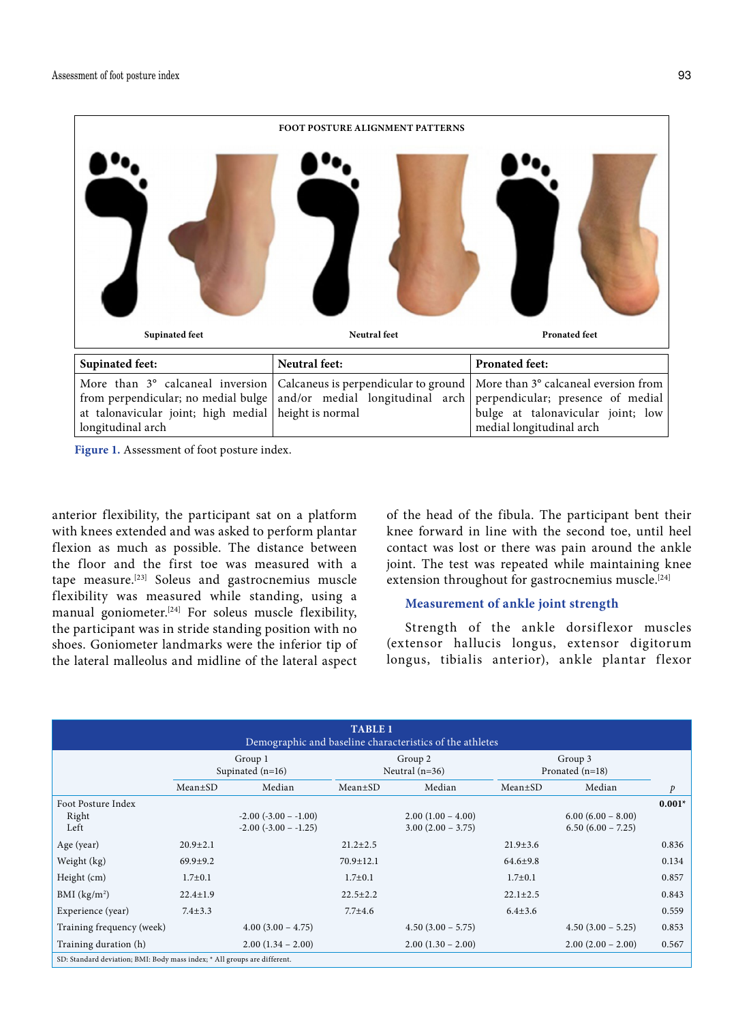

**Figure 1.** Assessment of foot posture index.

anterior flexibility, the participant sat on a platform with knees extended and was asked to perform plantar flexion as much as possible. The distance between the floor and the first toe was measured with a tape measure.[23] Soleus and gastrocnemius muscle flexibility was measured while standing, using a manual goniometer.<sup>[24]</sup> For soleus muscle flexibility, the participant was in stride standing position with no shoes. Goniometer landmarks were the inferior tip of the lateral malleolus and midline of the lateral aspect

of the head of the fibula. The participant bent their knee forward in line with the second toe, until heel contact was lost or there was pain around the ankle joint. The test was repeated while maintaining knee extension throughout for gastrocnemius muscle.<sup>[24]</sup>

## **Measurement of ankle joint strength**

Strength of the ankle dorsiflexor muscles (extensor hallucis longus, extensor digitorum longus, tibialis anterior), ankle plantar flexor

| <b>TABLE 1</b><br>Demographic and baseline characteristics of the athletes |                               |                                                         |                             |                                            |                              |                                            |               |
|----------------------------------------------------------------------------|-------------------------------|---------------------------------------------------------|-----------------------------|--------------------------------------------|------------------------------|--------------------------------------------|---------------|
|                                                                            | Group 1<br>Supinated $(n=16)$ |                                                         | Group 2<br>Neutral $(n=36)$ |                                            | Group 3<br>Pronated $(n=18)$ |                                            |               |
|                                                                            | $Mean \pm SD$                 | Median                                                  | $Mean \pm SD$               | Median                                     | $Mean \pm SD$                | Median                                     | $\mathcal{P}$ |
| Foot Posture Index<br>Right<br>Left                                        |                               | $-2.00$ ( $-3.00$ $-1.00$ )<br>$-2.00$ $(-3.00 - 1.25)$ |                             | $2.00(1.00 - 4.00)$<br>$3.00(2.00 - 3.75)$ |                              | $6.00(6.00 - 8.00)$<br>$6.50(6.00 - 7.25)$ | $0.001*$      |
| Age (year)                                                                 | $20.9 \pm 2.1$                |                                                         | $21.2 \pm 2.5$              |                                            | $21.9 \pm 3.6$               |                                            | 0.836         |
| Weight (kg)                                                                | $69.9 + 9.2$                  |                                                         | $70.9 \pm 12.1$             |                                            | $64.6{\pm}9.8$               |                                            | 0.134         |
| Height (cm)                                                                | $1.7 \pm 0.1$                 |                                                         | $1.7 \pm 0.1$               |                                            | $1.7 \pm 0.1$                |                                            | 0.857         |
| BMI (kg/m <sup>2</sup> )                                                   | $22.4 \pm 1.9$                |                                                         | $22.5 \pm 2.2$              |                                            | $22.1 \pm 2.5$               |                                            | 0.843         |
| Experience (year)                                                          | $7.4 \pm 3.3$                 |                                                         | $7.7 + 4.6$                 |                                            | $6.4 \pm 3.6$                |                                            | 0.559         |
| Training frequency (week)                                                  |                               | $4.00(3.00 - 4.75)$                                     |                             | $4.50(3.00 - 5.75)$                        |                              | $4.50(3.00 - 5.25)$                        | 0.853         |
| Training duration (h)                                                      |                               | $2.00(1.34 - 2.00)$                                     |                             | $2.00(1.30 - 2.00)$                        |                              | $2.00(2.00 - 2.00)$                        | 0.567         |
| SD: Standard deviation; BMI: Body mass index; * All groups are different.  |                               |                                                         |                             |                                            |                              |                                            |               |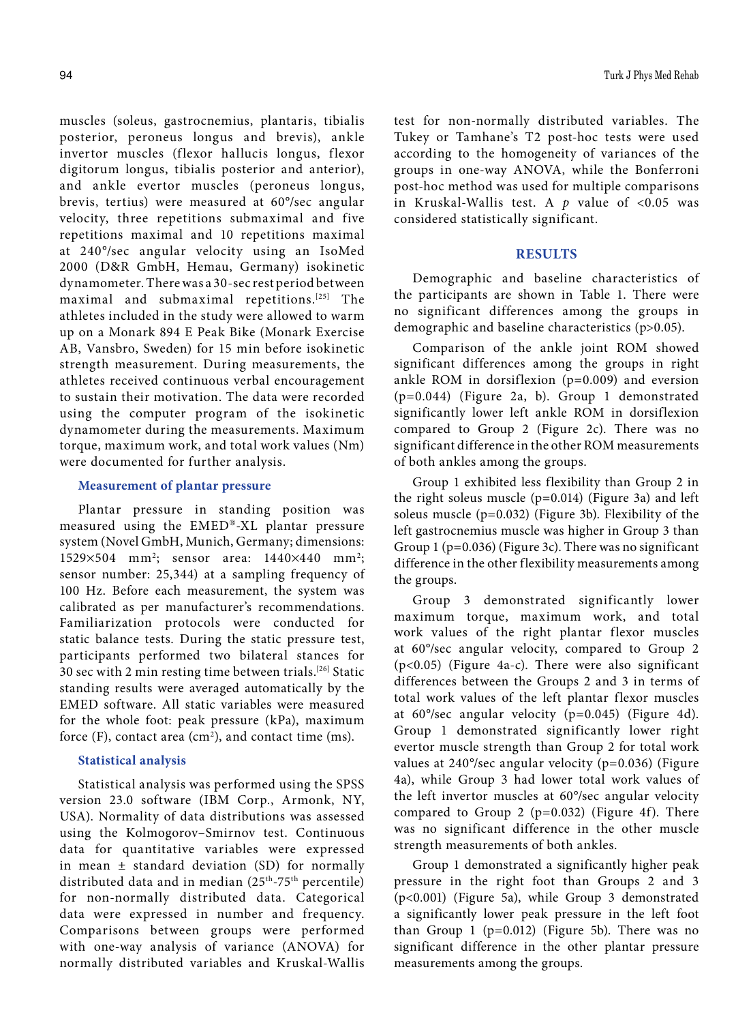muscles (soleus, gastrocnemius, plantaris, tibialis posterior, peroneus longus and brevis), ankle invertor muscles (flexor hallucis longus, flexor digitorum longus, tibialis posterior and anterior), and ankle evertor muscles (peroneus longus, brevis, tertius) were measured at 60°/sec angular velocity, three repetitions submaximal and five repetitions maximal and 10 repetitions maximal at 240°/sec angular velocity using an IsoMed 2000 (D&R GmbH, Hemau, Germany) isokinetic dynamometer. There was a 30-sec rest period between maximal and submaximal repetitions.[25] The athletes included in the study were allowed to warm up on a Monark 894 E Peak Bike (Monark Exercise AB, Vansbro, Sweden) for 15 min before isokinetic strength measurement. During measurements, the athletes received continuous verbal encouragement to sustain their motivation. The data were recorded using the computer program of the isokinetic dynamometer during the measurements. Maximum torque, maximum work, and total work values (Nm) were documented for further analysis.

# **Measurement of plantar pressure**

Plantar pressure in standing position was measured using the EMED®-XL plantar pressure system (Novel GmbH, Munich, Germany; dimensions: 1529×504 mm<sup>2</sup>; sensor area: 1440×440 mm<sup>2</sup>; sensor number: 25,344) at a sampling frequency of 100 Hz. Before each measurement, the system was calibrated as per manufacturer's recommendations. Familiarization protocols were conducted for static balance tests. During the static pressure test, participants performed two bilateral stances for 30 sec with 2 min resting time between trials.[26] Static standing results were averaged automatically by the EMED software. All static variables were measured for the whole foot: peak pressure (kPa), maximum force (F), contact area (cm<sup>2</sup>), and contact time (ms).

## **Statistical analysis**

Statistical analysis was performed using the SPSS version 23.0 software (IBM Corp., Armonk, NY, USA). Normality of data distributions was assessed using the Kolmogorov–Smirnov test. Continuous data for quantitative variables were expressed in mean  $\pm$  standard deviation (SD) for normally distributed data and in median (25<sup>th</sup>-75<sup>th</sup> percentile) for non-normally distributed data. Categorical data were expressed in number and frequency. Comparisons between groups were performed with one-way analysis of variance (ANOVA) for normally distributed variables and Kruskal-Wallis test for non-normally distributed variables. The Tukey or Tamhane's T2 post-hoc tests were used according to the homogeneity of variances of the groups in one-way ANOVA, while the Bonferroni post-hoc method was used for multiple comparisons in Kruskal-Wallis test. A *p* value of <0.05 was considered statistically significant.

## **RESULTS**

Demographic and baseline characteristics of the participants are shown in Table 1. There were no significant differences among the groups in demographic and baseline characteristics (p>0.05).

Comparison of the ankle joint ROM showed significant differences among the groups in right ankle ROM in dorsiflexion (p=0.009) and eversion (p=0.044) (Figure 2a, b). Group 1 demonstrated significantly lower left ankle ROM in dorsiflexion compared to Group 2 (Figure 2c). There was no significant difference in the other ROM measurements of both ankles among the groups.

Group 1 exhibited less flexibility than Group 2 in the right soleus muscle (p=0.014) (Figure 3a) and left soleus muscle (p=0.032) (Figure 3b). Flexibility of the left gastrocnemius muscle was higher in Group 3 than Group 1 (p=0.036) (Figure 3c). There was no significant difference in the other flexibility measurements among the groups.

Group 3 demonstrated significantly lower maximum torque, maximum work, and total work values of the right plantar flexor muscles at 60°/sec angular velocity, compared to Group 2 (p<0.05) (Figure 4a-c). There were also significant differences between the Groups 2 and 3 in terms of total work values of the left plantar flexor muscles at 60°/sec angular velocity (p=0.045) (Figure 4d). Group 1 demonstrated significantly lower right evertor muscle strength than Group 2 for total work values at 240°/sec angular velocity (p=0.036) (Figure 4a), while Group 3 had lower total work values of the left invertor muscles at 60°/sec angular velocity compared to Group 2 ( $p=0.032$ ) (Figure 4f). There was no significant difference in the other muscle strength measurements of both ankles.

Group 1 demonstrated a significantly higher peak pressure in the right foot than Groups 2 and 3 (p<0.001) (Figure 5a), while Group 3 demonstrated a significantly lower peak pressure in the left foot than Group 1 ( $p=0.012$ ) (Figure 5b). There was no significant difference in the other plantar pressure measurements among the groups.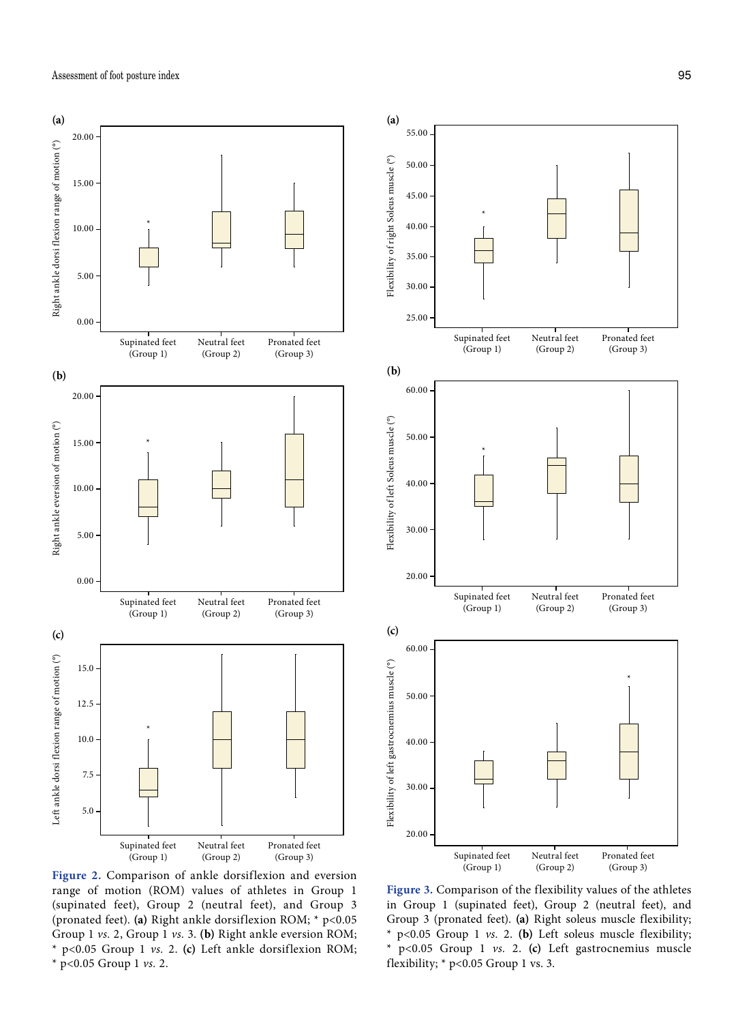



**Figure 2.** Comparison of ankle dorsiflexion and eversion range of motion (ROM) values of athletes in Group 1 (supinated feet), Group 2 (neutral feet), and Group 3 (pronated feet). **(a)** Right ankle dorsiflexion ROM; \* p<0.05 Group 1 *vs.* 2, Group 1 *vs.* 3. **(b)** Right ankle eversion ROM; \* p<0.05 Group 1 *vs.* 2. **(c)** Left ankle dorsiflexion ROM; \* p<0.05 Group 1 *vs.* 2.

**Figure 3.** Comparison of the flexibility values of the athletes in Group 1 (supinated feet), Group 2 (neutral feet), and Group 3 (pronated feet). **(a)** Right soleus muscle flexibility; \* p<0.05 Group 1 *vs.* 2. **(b)** Left soleus muscle flexibility; \* p<0.05 Group 1 *vs.* 2. **(c)** Left gastrocnemius muscle flexibility;  $*$  p<0.05 Group 1 vs. 3.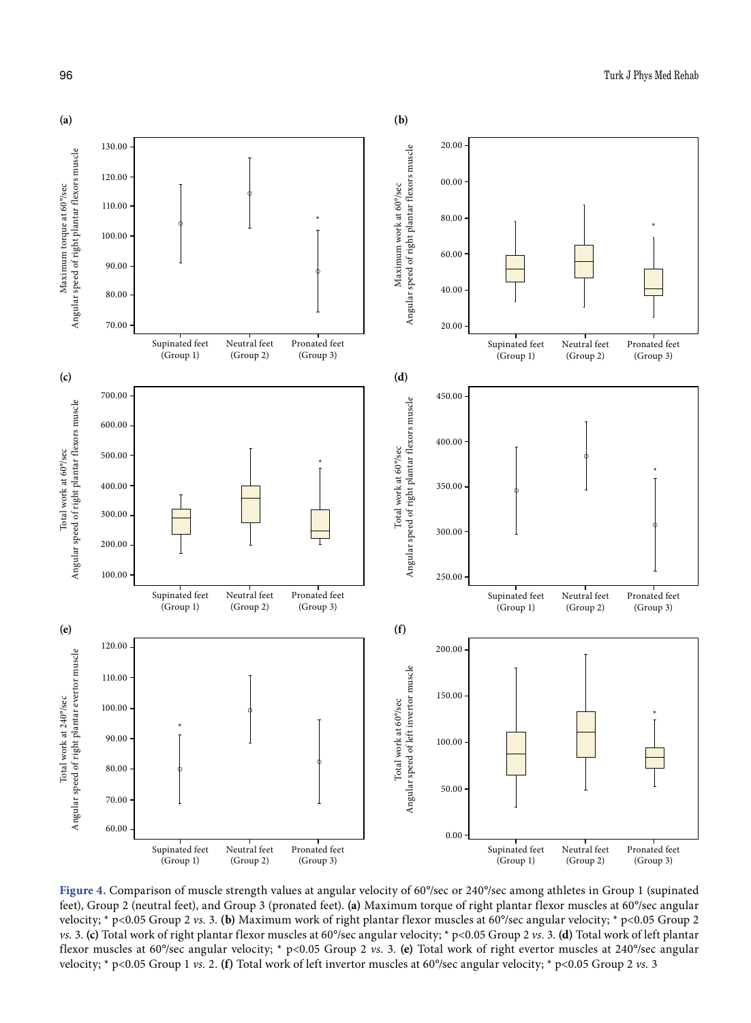

**Figure 4.** Comparison of muscle strength values at angular velocity of 60°/sec or 240°/sec among athletes in Group 1 (supinated feet), Group 2 (neutral feet), and Group 3 (pronated feet). **(a)** Maximum torque of right plantar flexor muscles at 60°/sec angular velocity; \* p<0.05 Group 2 *vs.* 3. **(b)** Maximum work of right plantar flexor muscles at 60°/sec angular velocity; \* p<0.05 Group 2 *vs.* 3. **(c)** Total work of right plantar flexor muscles at 60°/sec angular velocity; \* p<0.05 Group 2 *vs.* 3. **(d)** Total work of left plantar flexor muscles at 60°/sec angular velocity; \* p<0.05 Group 2 *vs.* 3. **(e)** Total work of right evertor muscles at 240°/sec angular velocity; \* p<0.05 Group 1 *vs.* 2. **(f)** Total work of left invertor muscles at 60°/sec angular velocity; \* p<0.05 Group 2 *vs.* 3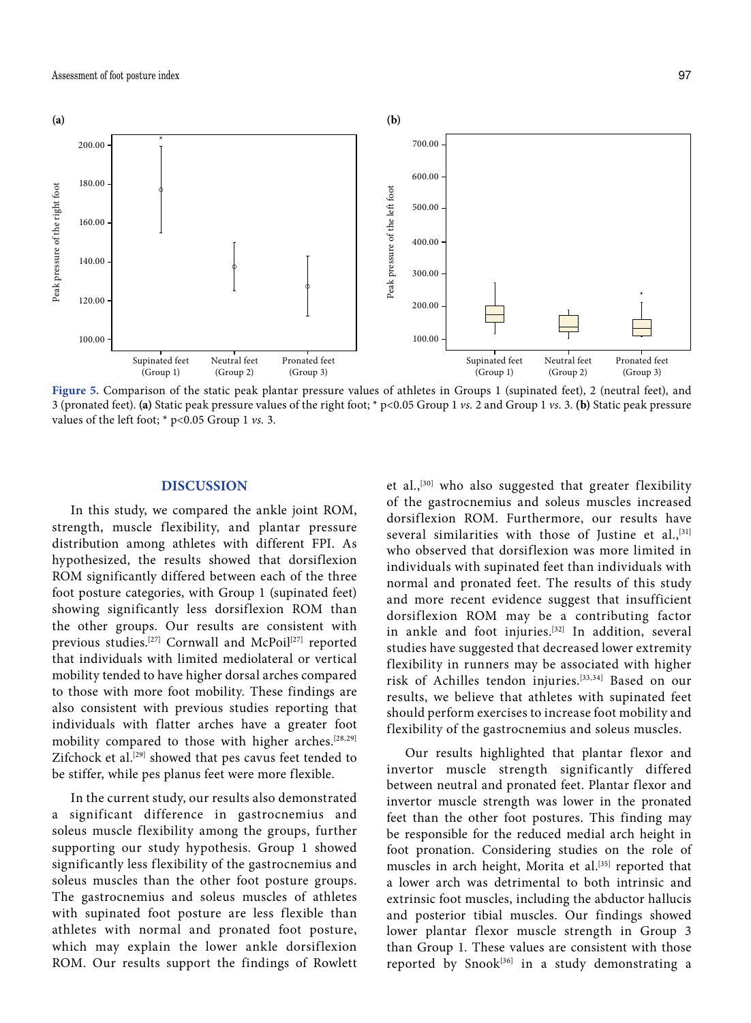

Figure 5. Comparison of the static peak plantar pressure values of athletes in Groups 1 (supinated feet), 2 (neutral feet), and 3 (pronated feet). **(a)** Static peak pressure values of the right foot; \* p<0.05 Group 1 *vs.* 2 and Group 1 *vs.* 3. **(b)** Static peak pressure values of the left foot; \* p<0.05 Group 1 *vs.* 3.

## **DISCUSSION**

In this study, we compared the ankle joint ROM, strength, muscle flexibility, and plantar pressure distribution among athletes with different FPI. As hypothesized, the results showed that dorsiflexion ROM significantly differed between each of the three foot posture categories, with Group 1 (supinated feet) showing significantly less dorsiflexion ROM than the other groups. Our results are consistent with previous studies.<sup>[27]</sup> Cornwall and McPoil<sup>[27]</sup> reported that individuals with limited mediolateral or vertical mobility tended to have higher dorsal arches compared to those with more foot mobility. These findings are also consistent with previous studies reporting that individuals with flatter arches have a greater foot mobility compared to those with higher arches.[28,29] Zifchock et al.<sup>[29]</sup> showed that pes cavus feet tended to be stiffer, while pes planus feet were more flexible.

In the current study, our results also demonstrated a significant difference in gastrocnemius and soleus muscle flexibility among the groups, further supporting our study hypothesis. Group 1 showed significantly less flexibility of the gastrocnemius and soleus muscles than the other foot posture groups. The gastrocnemius and soleus muscles of athletes with supinated foot posture are less flexible than athletes with normal and pronated foot posture, which may explain the lower ankle dorsiflexion ROM. Our results support the findings of Rowlett et al.,[30] who also suggested that greater flexibility of the gastrocnemius and soleus muscles increased dorsiflexion ROM. Furthermore, our results have several similarities with those of Justine et al.,<sup>[31]</sup> who observed that dorsiflexion was more limited in individuals with supinated feet than individuals with normal and pronated feet. The results of this study and more recent evidence suggest that insufficient dorsiflexion ROM may be a contributing factor in ankle and foot injuries.[32] In addition, several studies have suggested that decreased lower extremity flexibility in runners may be associated with higher risk of Achilles tendon injuries.[33,34] Based on our results, we believe that athletes with supinated feet should perform exercises to increase foot mobility and flexibility of the gastrocnemius and soleus muscles.

Our results highlighted that plantar flexor and invertor muscle strength significantly differed between neutral and pronated feet. Plantar flexor and invertor muscle strength was lower in the pronated feet than the other foot postures. This finding may be responsible for the reduced medial arch height in foot pronation. Considering studies on the role of muscles in arch height, Morita et al.<sup>[35]</sup> reported that a lower arch was detrimental to both intrinsic and extrinsic foot muscles, including the abductor hallucis and posterior tibial muscles. Our findings showed lower plantar flexor muscle strength in Group 3 than Group 1. These values are consistent with those reported by Snook<sup>[36]</sup> in a study demonstrating a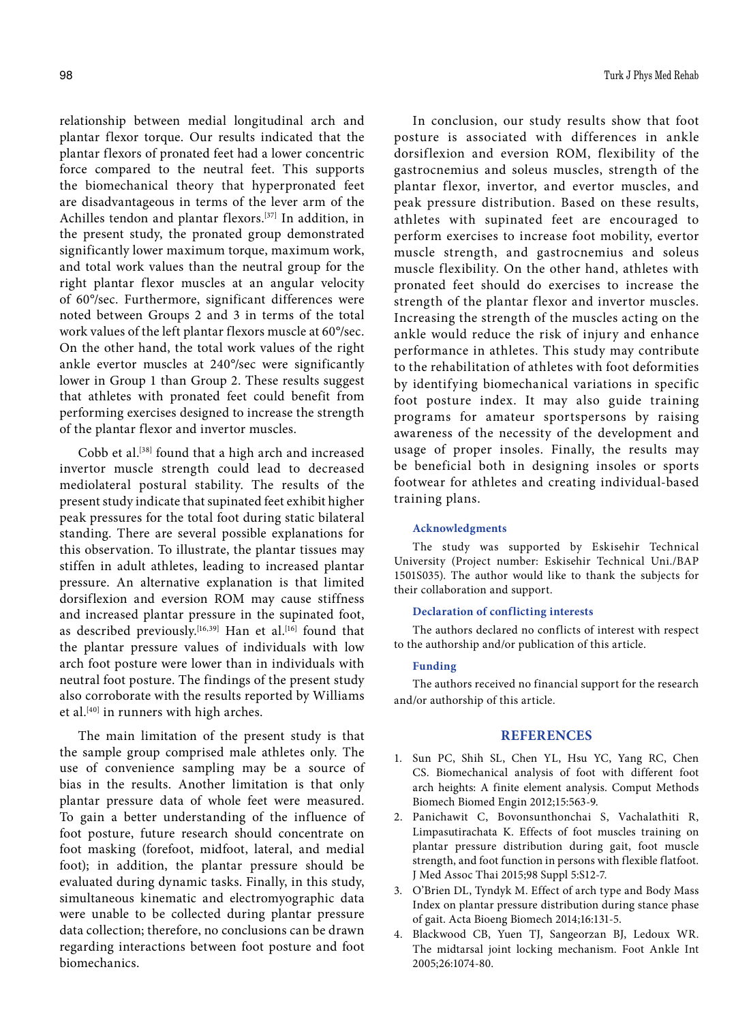relationship between medial longitudinal arch and plantar flexor torque. Our results indicated that the plantar flexors of pronated feet had a lower concentric force compared to the neutral feet. This supports the biomechanical theory that hyperpronated feet are disadvantageous in terms of the lever arm of the Achilles tendon and plantar flexors.[37] In addition, in the present study, the pronated group demonstrated significantly lower maximum torque, maximum work, and total work values than the neutral group for the right plantar flexor muscles at an angular velocity of 60°/sec. Furthermore, significant differences were noted between Groups 2 and 3 in terms of the total work values of the left plantar flexors muscle at 60°/sec. On the other hand, the total work values of the right ankle evertor muscles at 240°/sec were significantly lower in Group 1 than Group 2. These results suggest that athletes with pronated feet could benefit from performing exercises designed to increase the strength of the plantar flexor and invertor muscles.

Cobb et al.[38] found that a high arch and increased invertor muscle strength could lead to decreased mediolateral postural stability. The results of the present study indicate that supinated feet exhibit higher peak pressures for the total foot during static bilateral standing. There are several possible explanations for this observation. To illustrate, the plantar tissues may stiffen in adult athletes, leading to increased plantar pressure. An alternative explanation is that limited dorsiflexion and eversion ROM may cause stiffness and increased plantar pressure in the supinated foot, as described previously.<sup>[16,39]</sup> Han et al.<sup>[16]</sup> found that the plantar pressure values of individuals with low arch foot posture were lower than in individuals with neutral foot posture. The findings of the present study also corroborate with the results reported by Williams et al.<sup>[40]</sup> in runners with high arches.

The main limitation of the present study is that the sample group comprised male athletes only. The use of convenience sampling may be a source of bias in the results. Another limitation is that only plantar pressure data of whole feet were measured. To gain a better understanding of the influence of foot posture, future research should concentrate on foot masking (forefoot, midfoot, lateral, and medial foot); in addition, the plantar pressure should be evaluated during dynamic tasks. Finally, in this study, simultaneous kinematic and electromyographic data were unable to be collected during plantar pressure data collection; therefore, no conclusions can be drawn regarding interactions between foot posture and foot biomechanics.

In conclusion, our study results show that foot posture is associated with differences in ankle dorsiflexion and eversion ROM, flexibility of the gastrocnemius and soleus muscles, strength of the plantar flexor, invertor, and evertor muscles, and peak pressure distribution. Based on these results, athletes with supinated feet are encouraged to perform exercises to increase foot mobility, evertor muscle strength, and gastrocnemius and soleus muscle flexibility. On the other hand, athletes with pronated feet should do exercises to increase the strength of the plantar flexor and invertor muscles. Increasing the strength of the muscles acting on the ankle would reduce the risk of injury and enhance performance in athletes. This study may contribute to the rehabilitation of athletes with foot deformities by identifying biomechanical variations in specific foot posture index. It may also guide training programs for amateur sportspersons by raising awareness of the necessity of the development and usage of proper insoles. Finally, the results may be beneficial both in designing insoles or sports footwear for athletes and creating individual-based training plans.

#### **Acknowledgments**

The study was supported by Eskisehir Technical University (Project number: Eskisehir Technical Uni./BAP 1501S035). The author would like to thank the subjects for their collaboration and support.

## **Declaration of conflicting interests**

The authors declared no conflicts of interest with respect to the authorship and/or publication of this article.

### **Funding**

The authors received no financial support for the research and/or authorship of this article.

#### **REFERENCES**

- 1. Sun PC, Shih SL, Chen YL, Hsu YC, Yang RC, Chen CS. Biomechanical analysis of foot with different foot arch heights: A finite element analysis. Comput Methods Biomech Biomed Engin 2012;15:563-9.
- 2. Panichawit C, Bovonsunthonchai S, Vachalathiti R, Limpasutirachata K. Effects of foot muscles training on plantar pressure distribution during gait, foot muscle strength, and foot function in persons with flexible flatfoot. J Med Assoc Thai 2015;98 Suppl 5:S12-7.
- 3. O'Brien DL, Tyndyk M. Effect of arch type and Body Mass Index on plantar pressure distribution during stance phase of gait. Acta Bioeng Biomech 2014;16:131-5.
- 4. Blackwood CB, Yuen TJ, Sangeorzan BJ, Ledoux WR. The midtarsal joint locking mechanism. Foot Ankle Int 2005;26:1074-80.